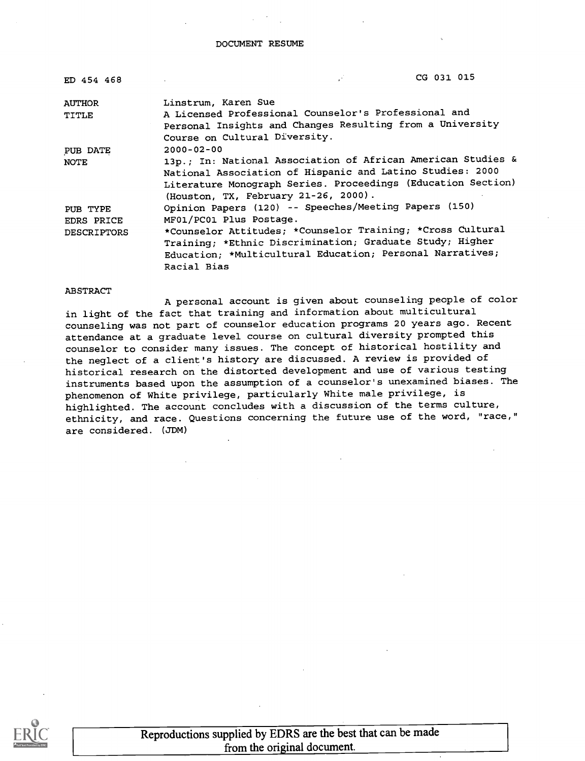DOCUMENT RESUME

| ED 454 468         | CG 031 015                                                   |
|--------------------|--------------------------------------------------------------|
| <b>AUTHOR</b>      | Linstrum, Karen Sue                                          |
| TITLE              | A Licensed Professional Counselor's Professional and         |
|                    | Personal Insights and Changes Resulting from a University    |
|                    | Course on Cultural Diversity.                                |
| PUB DATE           | $2000 - 02 - 00$                                             |
| <b>NOTE</b>        | 13p.; In: National Association of African American Studies & |
|                    | National Association of Hispanic and Latino Studies: 2000    |
|                    | Literature Monograph Series. Proceedings (Education Section) |
|                    | (Houston, TX, February 21-26, 2000).                         |
| PUB TYPE           | Opinion Papers (120) -- Speeches/Meeting Papers (150)        |
| EDRS PRICE         | MF01/PC01 Plus Postage.                                      |
| <b>DESCRIPTORS</b> | *Counselor Attitudes; *Counselor Training; *Cross Cultural   |
|                    | Training; *Ethnic Discrimination; Graduate Study; Higher     |
|                    | Education; *Multicultural Education; Personal Narratives;    |
|                    | Racial Bias                                                  |

#### ABSTRACT

A personal account is given about counseling people of color in light of the fact that training and information about multicultural counseling was not part of counselor education programs 20 years ago. Recent attendance at a graduate level course on cultural diversity prompted this counselor to consider many issues. The concept of historical hostility and the neglect of a client's history are discussed. A review is provided of historical research on the distorted development and use of various testing instruments based upon the assumption of a counselor's unexamined biases. The phenomenon of White privilege, particularly White male privilege, is highlighted. The account concludes with a discussion of the terms culture, ethnicity, and race. Questions concerning the future use of the word, "race," are considered. (JDM)



Reproductions supplied by EDRS are the best that can be made from the original document.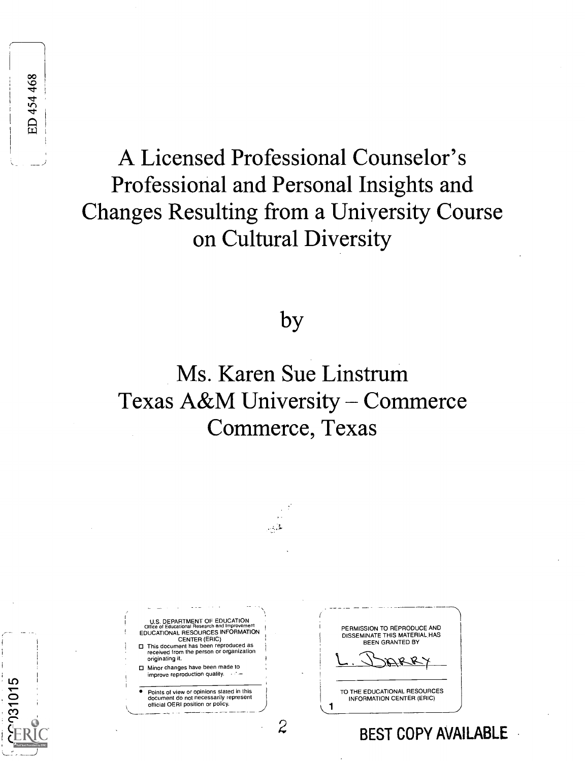$-931015$ 

C O <sup>O</sup>0

# A Licensed Professional Counselor's Professional and Personal Insights and Changes Resulting from a University Course on Cultural Diversity

## by

# Ms. Karen Sue Linstrum Texas A&M University - Commerce Commerce, Texas

لقريف

U.S. DEPARTMENT OF EDUCATION<br>Office of Educational Research and Improvement EDUCATIONAL RESOURCES INFORMATION CENTER (ERIC) This document has been reproduced as received from the person or organization originating it. Minor changes have been made to improve reproduction quality. Points of view or opinions stated in this document do not necessarily represent official OERI position or policy.

PERMISSION TO REPRODUCE AND DISSEMINATE THIS MATERIAL,HAS BEEN GRANTED BY

TO THE EDUCATIONAL RESOURCES INFORMATION CENTER (ERIC)

BEST COPY AVAILABLE

 $\mathcal{Z}$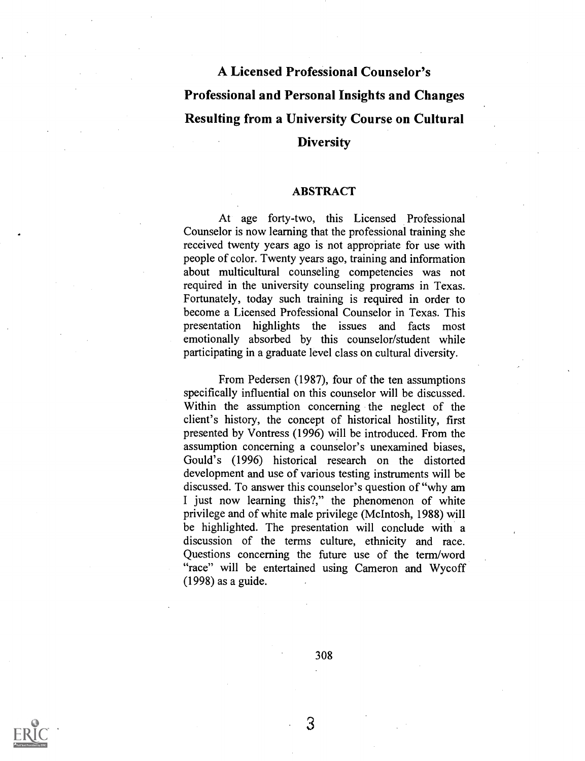### A Licensed Professional Counselor's Professional and Personal Insights and Changes Resulting from a University Course on Cultural **Diversity**

### ABSTRACT

At age forty-two, this Licensed Professional Counselor is now learning that the professional training she received twenty years ago is not appropriate for use with people of color. Twenty years ago, training and information about multicultural counseling competencies was not required in the university counseling programs in Texas. Fortunately, today such training is required in order to become a Licensed Professional Counselor in Texas. This presentation highlights the issues and facts most emotionally absorbed by this counselor/student while participating in a graduate level class on cultural diversity.

From Pedersen (1987), four of the ten assumptions specifically influential on this counselor will be discussed. Within the assumption concerning the neglect of the client's history, the concept of historical hostility, first presented by Vontress (1996) will be introduced. From the assumption concerning a counselor's unexamined biases, Gould's (1996) historical research on the distorted development and use of various testing instruments will be discussed. To answer this counselor's question of "why am I just now learning this?," the phenomenon of white privilege and of white male privilege (McIntosh, 1988) will be highlighted. The presentation will conclude with a discussion of the terms culture, ethnicity and race. Questions concerning the future use of the term/word "race" will be entertained using Cameron and Wycoff (1998) as a guide.

308

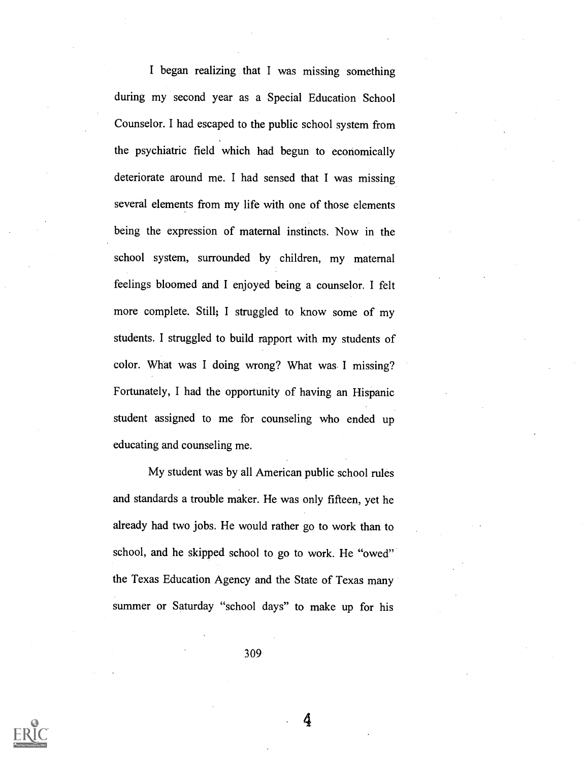I began realizing that I was missing something during my second year as a Special Education School Counselor. I had escaped to the public school system from the psychiatric field which had begun to economically deteriorate around me. I had sensed that I was missing several elements from my life with one of those elements being the expression of maternal instincts. Now in the school system, surrounded by children, my maternal feelings bloomed and I enjoyed being a counselor. I felt more complete. Still; I struggled to know some of my students. I struggled to build rapport with my students of color. What was I doing wrong? What was I missing? Fortunately, I had the opportunity of having an Hispanic student assigned to me for counseling who ended up educating and counseling me.

My student was by all American public school rules and standards a trouble maker. He was only fifteen, yet he already had two jobs. He would rather go to work than to school, and he skipped school to go to work. He "owed" the Texas Education Agency and the State of Texas many summer or Saturday "school days" to make up for his

309

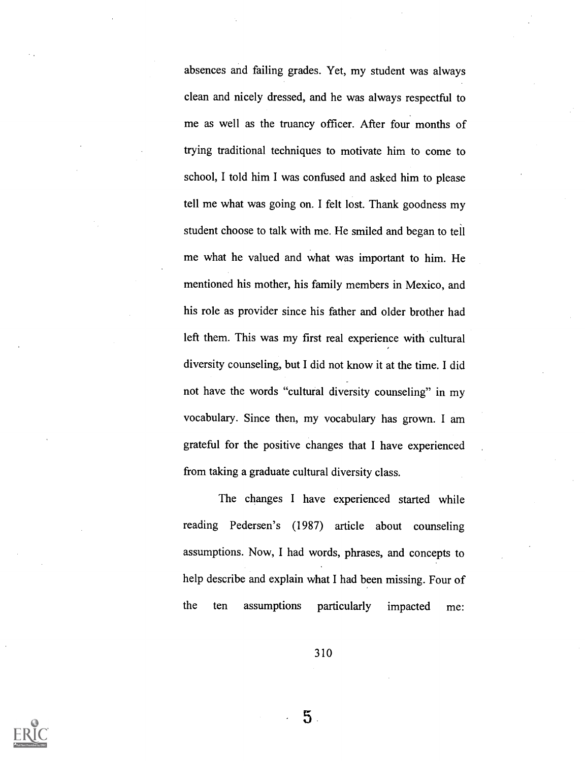absences and failing grades. Yet, my student was always clean and nicely dressed, and he was always respectful to me as well as the truancy officer. After four months of trying traditional techniques to motivate him to come to school, I told him I was confused and asked him to please tell me what was going on. I felt lost. Thank goodness my student choose to talk with me. He smiled and began to tell me what he valued and what was important to him. He mentioned his mother, his family members in Mexico, and his role as provider since his father and older brother had left them. This was my first real experience with cultural diversity counseling, but I did not know it at the time. I did not have the words "cultural diversity counseling" in my vocabulary. Since then, my vocabulary has grown. I am grateful for the positive changes that I have experienced from taking a graduate cultural diversity class.

The changes I have experienced started while reading Pedersen's (1987) article about counseling assumptions. Now, I had words, phrases, and concepts to help describe and explain what I had been missing. Four of the ten assumptions particularly impacted me:

310



 $5$ .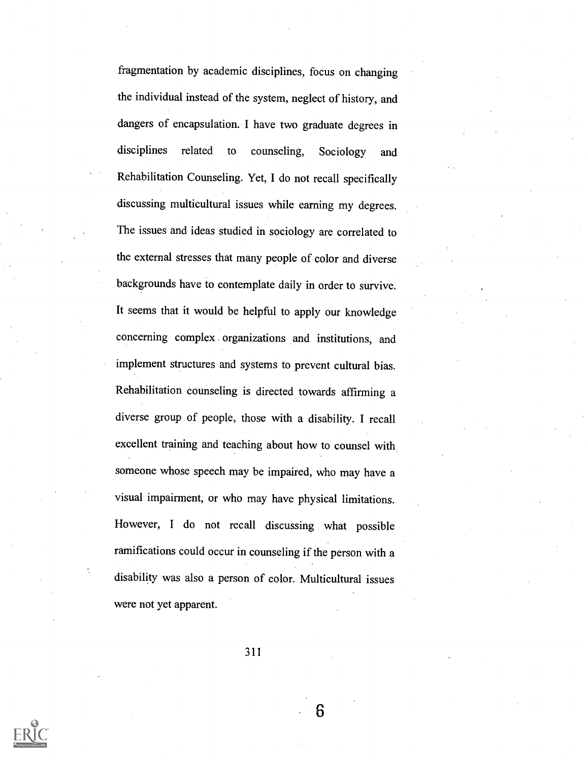fragmentation by academic disciplines, focus on changing the individual instead of the system, neglect of history, and dangers of encapsulation. I have two graduate degrees in disciplines related to counseling, Sociology and Rehabilitation Counseling. Yet, I do not recall specifically discussing multicultural issues while earning my degrees. The issues and ideas studied in sociology are correlated to the external stresses that many people of color and diverse backgrounds have to contemplate daily in order to survive. It seems that it would be helpful to apply our knowledge concerning complex organizations and institutions, and implement structures and systems to prevent cultural bias. Rehabilitation counseling is directed towards affirming a diverse group of people, those with a disability. I recall excellent training and teaching about how to counsel with someone whose speech may be impaired, who may have a visual impairment, or who may have physical limitations. However, I do not recall discussing what possible ramifications could occur in counseling if the person with a disability was also a person of color. Multicultural issues were not yet apparent.

311

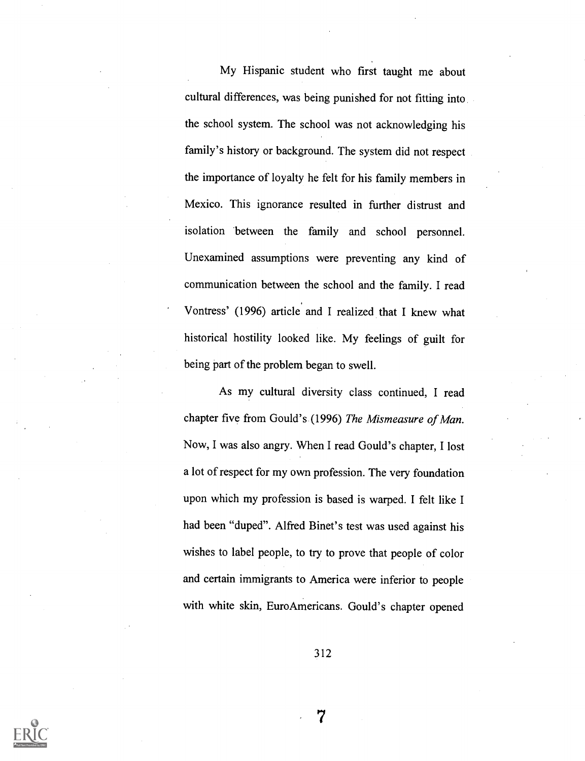My Hispanic student who first taught me about cultural differences, was being punished for not fitting into the school system. The school was not acknowledging his family's history or background. The system did not respect the importance of loyalty he felt for his family members in Mexico. This ignorance resulted in further distrust and isolation between the family and school personnel. Unexamined assumptions were preventing any kind of communication between the school and the family. I read Vontress' (1996) article and I realized that I knew what historical hostility looked like. My feelings of guilt for being part of the problem began to swell.

As my cultural diversity class continued, I read chapter five from Gould's (1996) The Mismeasure of Man. Now, I was also angry. When I read Gould's chapter, I lost a lot of respect for my own profession. The very foundation upon which my profession is based is warped. I felt like I had been "duped". Alfred Binet's test was used against his wishes to label people, to try to prove that people of color and certain immigrants to America were inferior to people with white skin, EuroAmericans. Gould's chapter opened

312

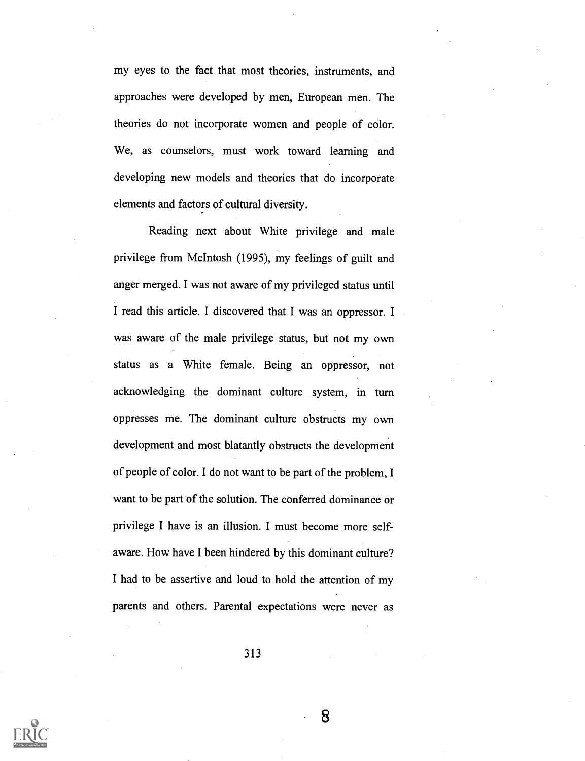my eyes to the fact that most theories, instruments, and approaches were developed by men, European men. The theories do not incorporate women and people of color. We, as counselors, must work toward learning and developing new models and theories that do incorporate elements and factors of cultural diversity.

Reading next about White privilege and male privilege from McIntosh (1995), my feelings of guilt and anger merged. I was not aware of my privileged status until I read this article. I discovered that I was an oppressor. I was aware of the male privilege status, but not my own status as a White female. Being an oppressor, not acknowledging the dominant culture system, in turn oppresses me. The dominant culture obstructs my own development and most blatantly obstructs the development of people of color. I do not want to be part of the problem, I want to be part of the solution. The conferred dominance or privilege I have is an illusion. I must become more selfaware. How have I been hindered by this dominant culture? I had to be assertive and loud to hold the attention of my parents and others. Parental expectations were never as

313

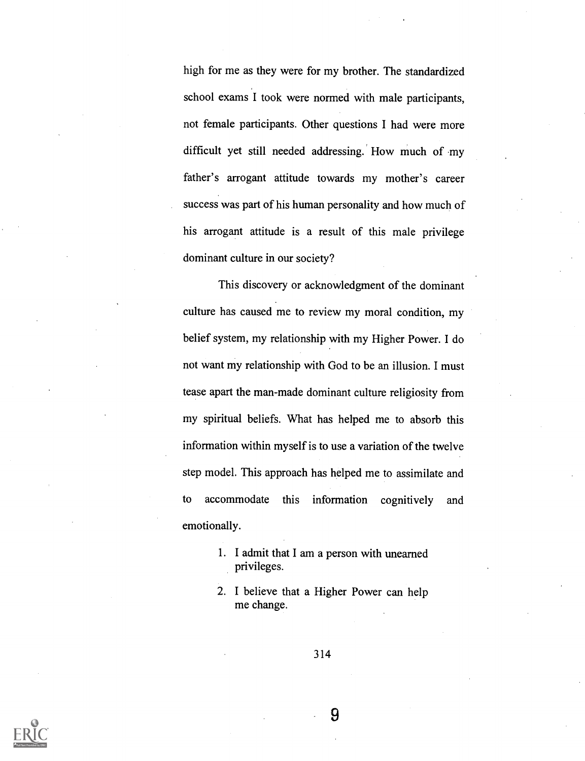high for me as they were for my brother. The standardized school exams I took were normed with male participants, not female participants. Other questions I had were more difficult yet still needed addressing. How much of my father's arrogant attitude towards my mother's career success was part of his human personality and how much of his arrogant attitude is a result of this male privilege dominant culture in our society?

This discovery or acknowledgment of the dominant culture has caused me to review my moral condition, my belief system, my relationship with my Higher Power. I do not want my relationship with God to be an illusion. I must tease apart the man-made dominant culture religiosity from my spiritual beliefs. What has helped me to absorb this information within myself is to use a variation of the twelve step model. This approach has helped me to assimilate and to accommodate this information cognitively and emotionally.

- 1. I admit that I am a person with unearned privileges.
- 2. I believe that a Higher Power can help me change.

314

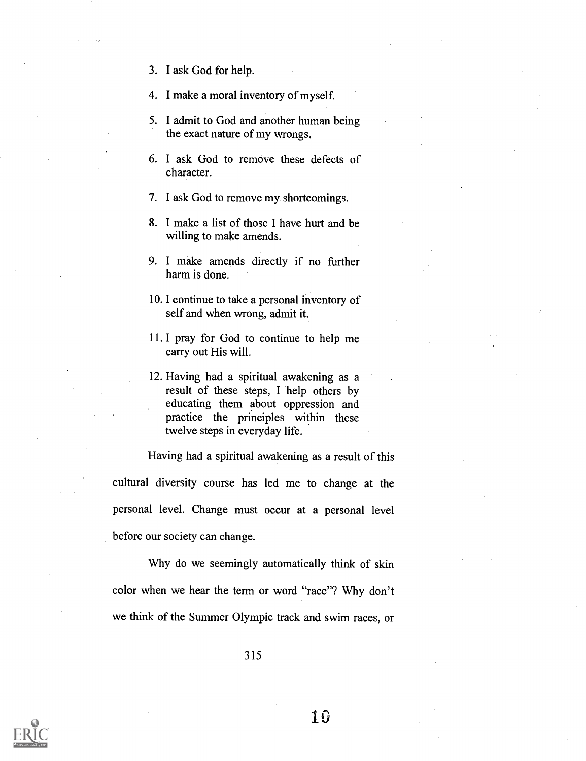- 3. I ask God for help.
- 4. I make a moral inventory of myself.
- 5. I admit to God and another human being the exact nature of my wrongs.
- 6. I ask God to remove these defects of character.
- 7. I ask God to remove my shortcomings.
- 8. I make a list of those I have hurt and be willing to make amends.
- 9. I make amends directly if no further harm is done.
- 10. I continue to take a personal inventory of self and when wrong, admit it.
- 11. I pray for God to continue to help me carry out His will.
- 12. Having had a spiritual awakening as a result of these steps, I help others by educating them about oppression and practice the principles within these twelve steps in everyday life.

Having had a spiritual awakening as a result of this cultural diversity course has led me to change at the personal level. Change must occur at a personal level before our society can change.

Why do we seemingly automatically think of skin color when we hear the term or word "race"? Why don't we think of the Summer Olympic track and swim races, or

315

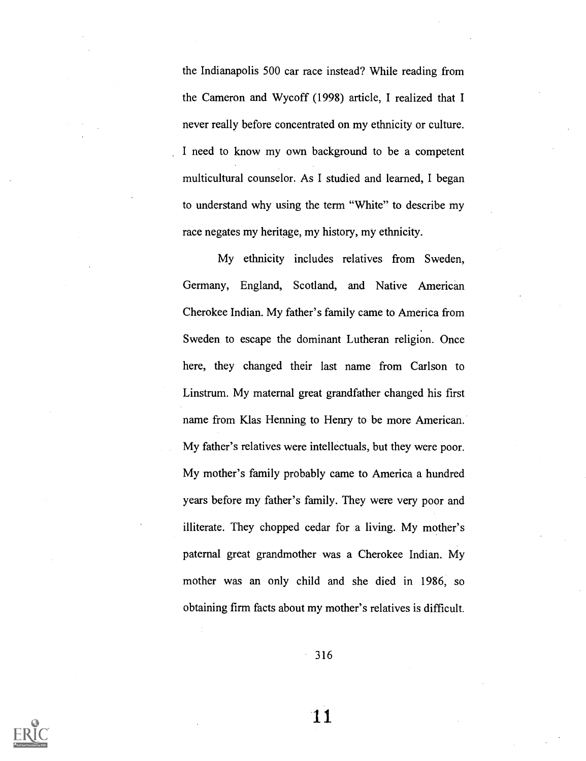the Indianapolis 500 car race instead? While reading from the Cameron and Wycoff (1998) article, I realized that I never really before concentrated on my ethnicity or culture. I need to know my own background to be a competent multicultural counselor. As I studied and learned, I began to understand why using the term "White" to describe my race negates my heritage, my history, my ethnicity.

My ethnicity includes relatives from Sweden, Germany, England, Scotland, and Native American Cherokee Indian. My father's family came to America from Sweden to escape the dominant Lutheran religion. Once here, they changed their last name from Carlson to Linstrum. My maternal great grandfather changed his first name from Klas Henning to Henry to be more American. My father's relatives were intellectuals, but they were poor. My mother's family probably came to America a hundred years before my father's family. They were very poor and illiterate. They chopped cedar for a living. My mother's paternal great grandmother was a Cherokee Indian. My mother was an only child and she died in 1986, so obtaining firm facts about my mother's relatives is difficult.

 $-316$ 

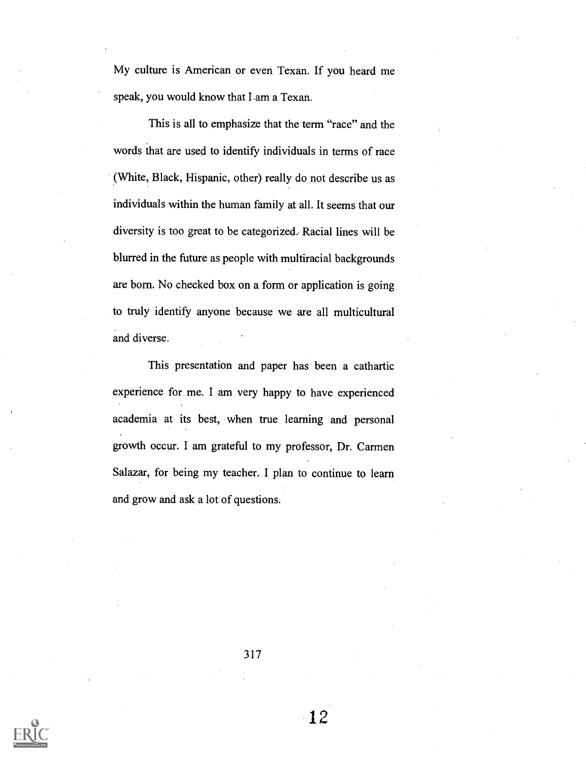My culture is American or even Texan. If you heard me speak, you would know that Lam a Texan.

This is all to emphasize that the term "race" and the words that are used to identify individuals in terms of race (White, Black, Hispanic, other) really do not describe us as individuals within the human family at all. It seems that our diversity is too great to be categorized.. Racial lines will be blurred in the future as people with multiracial backgrounds are born. No checked box on a form or application is going to truly identify anyone because we are all multicultural and diverse.

This presentation and paper has been a cathartic experience for me. I am very happy to have experienced academia at its best, when true learning and personal growth occur. I am grateful to my professor, Dr. Carmen Salazar, for being my teacher. I plan to continue to learn and grow and ask a lot of questions.



317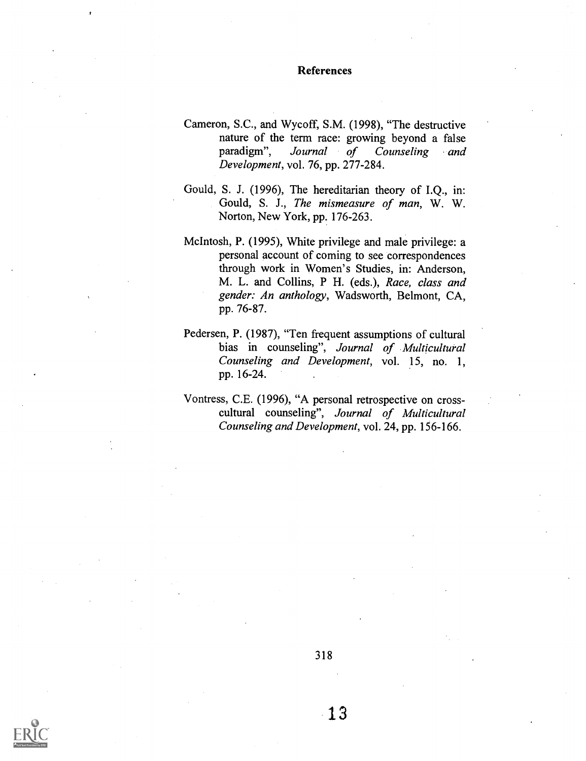### References

- Cameron, S.C., and Wycoff, S.M. (1998), "The destructive nature of the term race: growing beyond a false paradigm", Journal of Counseling and Development, vol. 76, pp. 277-284.
- Gould, S. J. (1996), The hereditarian theory of I.Q., in: Gould, S. J., The mismeasure of man, W. W. Norton, New York, pp. 176-263.
- McIntosh, P. (1995), White privilege and male privilege: a personal account of coming to see correspondences through work in Women's Studies, in: Anderson, M. L. and Collins, P H. (eds.), Race, class and gender: An anthology, Wadsworth, Belmont, CA, pp. 76-87.
- Pedersen, P. (1987), "Ten frequent assumptions of cultural bias in counseling", Journal of Multicultural Counseling and Development, vol. 15, no. 1, pp. 16-24.
- Vontress, C.E. (1996), "A personal retrospective on crosscultural counseling", Journal of Multicultural Counseling and Development, vol. 24, pp. 156-166.



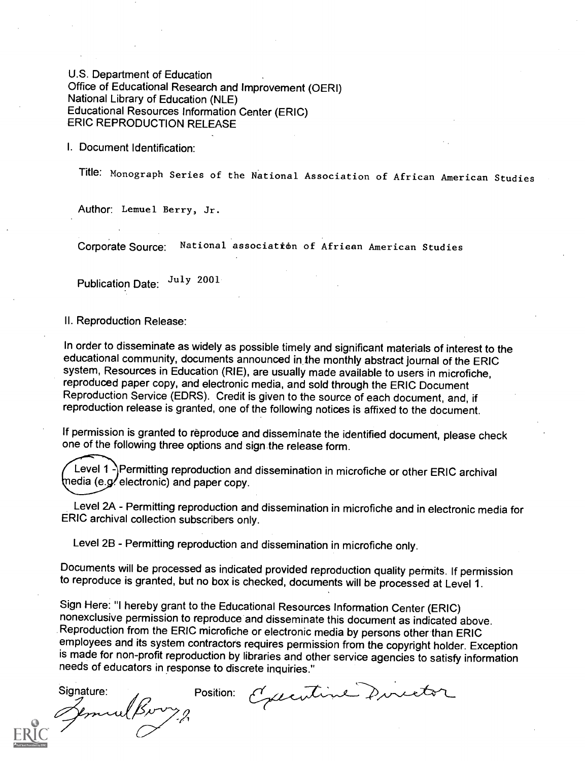U.S. Department of Education Office of Educational Research and Improvement (OERI) National Library of Education (NLE) Educational Resources Information Center (ERIC) ERIC REPRODUCTION RELEASE

I. Document Identification:

Title: Monograph Series of the National Association of African American Studies

Author: Lemuel Berry, Jr.

Corporate Source: National association of Afriean American Studies

Publication Date: July 2001

### II. Reproduction Release:

In order to disseminate as widely as possible timely and significant materials of interest to the educational community, documents announced in the monthly abstract journal of the ERIC system, Resources in Education (RIE), are usually made available to users in microfiche, reproduced paper copy, and electronic media, and sold through the ERIC Document Reproduction Service (EDRS). Credit is given to the source of each document, and, if reproduction release is granted, one of the following notices is affixed to the document.

If permission is granted to reproduce and disseminate the identified document, please check one of the following three options and sign the release form.

Level 1 - Permitting reproduction and dissemination in microfiche or other ERIC archival  ${median (e.g/electronic)}$  and paper copy.

Level 2A - Permitting reproduction and dissemination in microfiche and in electronic media for ERIC archival collection subscribers only.

Level 2B - Permitting reproduction and dissemination in microfiche only.

Documents will be processed as indicated provided reproduction quality permits. If permission to reproduce is granted, but no box is checked, documents will be processed at Level 1.

Sign Here: "I hereby grant to the Educational Resources Information Center (ERIC) nonexclusive permission to reproduce and disseminate this document as indicated above. Reproduction from the ERIC microfiche or electronic media by persons other than ERIC employees and its system contractors requires permission from the copyright holder. Exception is made for non-profit reproduction by libraries and other service agencies to satisfy information needs of educators in response to discrete inquiries."

Signature: Position:<br>Jeminal Burry<sub>2</sub>

Executive Director